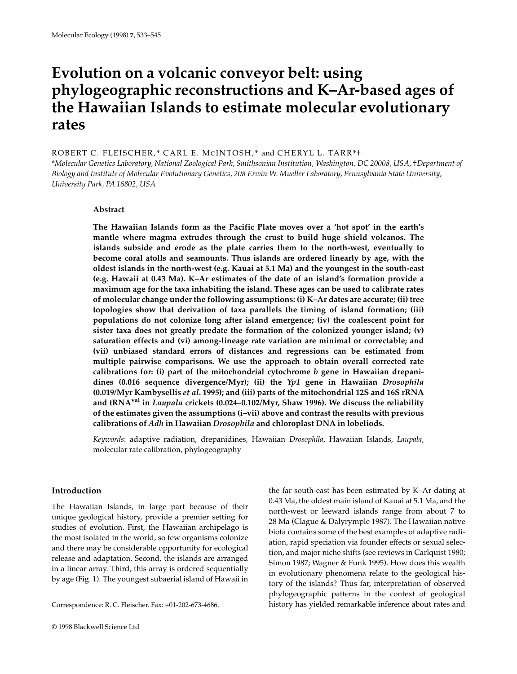# **Evolution on a volcanic conveyor belt: using phylogeographic reconstructions and K–Ar-based ages of the Hawaiian Islands to estimate molecular evolutionary rates**

ROBERT C. FLEISCHER,\* CARL E. MC INTOSH,\* and CHERYL L. TARR\*†

\**Molecular Genetics Laboratory, National Zoological Park, Smithsonian Institution, Washington, DC 20008, USA*, †*Department of Biology and Institute of Molecular Evolutionary Genetics, 208 Erwin W. Mueller Laboratory, Pennsylvania State University, University Park, PA 16802, USA*

## **Abstract**

**The Hawaiian Islands form as the Pacific Plate moves over a 'hot spot' in the earth's mantle where magma extrudes through the crust to build huge shield volcanos. The islands subside and erode as the plate carries them to the north-west, eventually to become coral atolls and seamounts. Thus islands are ordered linearly by age, with the oldest islands in the north-west (e.g. Kauai at 5.1 Ma) and the youngest in the south-east (e.g. Hawaii at 0.43 Ma). K–Ar estimates of the date of an island's formation provide a maximum age for the taxa inhabiting the island. These ages can be used to calibrate rates of molecular change under the following assumptions: (i) K–Ar dates are accurate; (ii) tree topologies show that derivation of taxa parallels the timing of island formation; (iii) populations do not colonize long after island emergence; (iv) the coalescent point for sister taxa does not greatly predate the formation of the colonized younger island; (v) saturation effects and (vi) among-lineage rate variation are minimal or correctable; and (vii) unbiased standard errors of distances and regressions can be estimated from multiple pairwise comparisons. We use the approach to obtain overall corrected rate calibrations for: (i) part of the mitochondrial cytochrome** *b* **gene in Hawaiian drepanidines (0.016 sequence divergence/Myr); (ii) the** *Yp1* **gene in Hawaiian** *Drosophila* **(0.019/Myr Kambysellis** *et al***. 1995); and (iii) parts of the mitochondrial 12S and 16S rRNA and tRNAval in** *Laupala* **crickets (0.024–0.102/Myr, Shaw 1996). We discuss the reliability of the estimates given the assumptions (i–vii) above and contrast the results with previous calibrations of** *Adh* **in Hawaiian** *Drosophila* **and chloroplast DNA in lobeliods.**

*Keywords*: adaptive radiation, drepanidines, Hawaiian *Drosophila*, Hawaiian Islands, *Laupala*, molecular rate calibration, phylogeography

## **Introduction**

The Hawaiian Islands, in large part because of their unique geological history, provide a premier setting for studies of evolution. First, the Hawaiian archipelago is the most isolated in the world, so few organisms colonize and there may be considerable opportunity for ecological release and adaptation. Second, the islands are arranged in a linear array. Third, this array is ordered sequentially by age (Fig. 1). The youngest subaerial island of Hawaii in

Correspondence: R. C. Fleischer. Fax: +01-202-673-4686.

the far south-east has been estimated by K–Ar dating at 0.43 Ma, the oldest main island of Kauai at 5.1 Ma, and the north-west or leeward islands range from about 7 to 28 Ma (Clague & Dalyrymple 1987). The Hawaiian native biota contains some of the best examples of adaptive radiation, rapid speciation via founder effects or sexual selection, and major niche shifts (see reviews in Carlquist 1980; Simon 1987; Wagner & Funk 1995). How does this wealth in evolutionary phenomena relate to the geological history of the islands? Thus far, interpretation of observed phylogeographic patterns in the context of geological history has yielded remarkable inference about rates and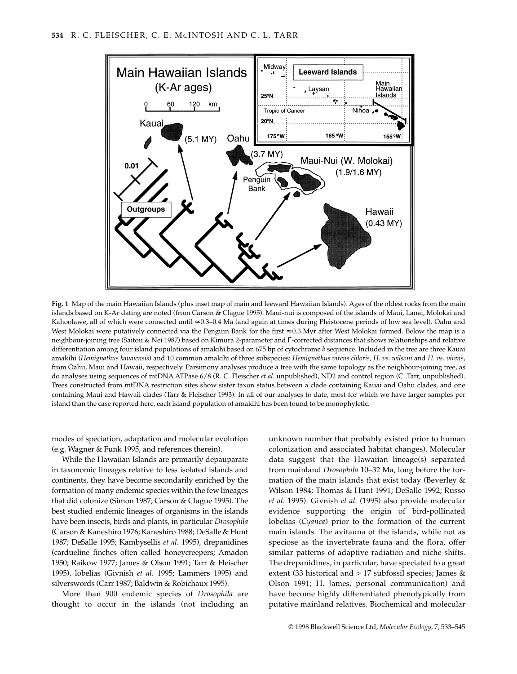

**Fig. 1** Map of the main Hawaiian Islands (plus inset map of main and leeward Hawaiian Islands). Ages of the oldest rocks from the main islands based on K-Ar dating are noted (from Carson & Clague 1995). Maui-nui is composed of the islands of Maui, Lanai, Molokai and Kahoolawe, all of which were connected until ≈ 0.3–0.4 Ma (and again at times during Pleistocene periods of low sea level). Oahu and West Molokai were putatively connected via the Penguin Bank for the first ≈ 0.3 Myr after West Molokai formed. Below the map is a neighbour-joining tree (Saitou & Nei 1987) based on Kimura 2-parameter and Γ-corrected distances that shows relationships and relative differentiation among four island populations of amakihi based on 675 bp of cytochrome *b* sequence. Included in the tree are three Kauai amakihi (*Hemignathus kauaiensis*) and 10 common amakihi of three subspecies: *Hemignathus virens chloris, H. vs. wilsoni* and *H. vs. virens*, from Oahu, Maui and Hawaii, respectively. Parsimony analyses produce a tree with the same topology as the neighbour-joining tree, as do analyses using sequences of mtDNA ATPase 6/8 (R. C. Fleischer *et al*. unpublished), ND2 and control region (C. Tarr, unpublished). Trees constructed from mtDNA restriction sites show sister taxon status between a clade containing Kauai and Oahu clades, and one containing Maui and Hawaii clades (Tarr & Fleischer 1993). In all of our analyses to date, most for which we have larger samples per island than the case reported here, each island population of amakihi has been found to be monophyletic.

modes of speciation, adaptation and molecular evolution (e.g. Wagner & Funk 1995, and references therein).

While the Hawaiian Islands are primarily depauparate in taxonomic lineages relative to less isolated islands and continents, they have become secondarily enriched by the formation of many endemic species within the few lineages that did colonize (Simon 1987; Carson & Clague 1995). The best studied endemic lineages of organisms in the islands have been insects, birds and plants, in particular *Drosophila* (Carson & Kaneshiro 1976; Kaneshiro 1988; DeSalle & Hunt 1987; DeSalle 1995; Kambysellis *et al*. 1995), drepanidines (cardueline finches often called honeycreepers; Amadon 1950; Raikow 1977; James & Olson 1991; Tarr & Fleischer 1995), lobelias (Givnish *et al*. 1995; Lammers 1995) and silverswords (Carr 1987; Baldwin & Robichaux 1995).

More than 900 endemic species of *Drosophila* are thought to occur in the islands (not including an

unknown number that probably existed prior to human colonization and associated habitat changes). Molecular data suggest that the Hawaiian lineage(s) separated from mainland *Drosophila* 10–32 Ma, long before the formation of the main islands that exist today (Beverley & Wilson 1984; Thomas & Hunt 1991; DeSalle 1992; Russo *et al*. 1995). Givnish *et al*. (1995) also provide molecular evidence supporting the origin of bird-pollinated lobelias (*Cyanea*) prior to the formation of the current main islands. The avifauna of the islands, while not as speciose as the invertebrate fauna and the flora, offer similar patterns of adaptive radiation and niche shifts. The drepanidines, in particular, have speciated to a great extent (33 historical and  $> 17$  subfossil species; James & Olson 1991; H. James, personal communication) and have become highly differentiated phenotypically from putative mainland relatives. Biochemical and molecular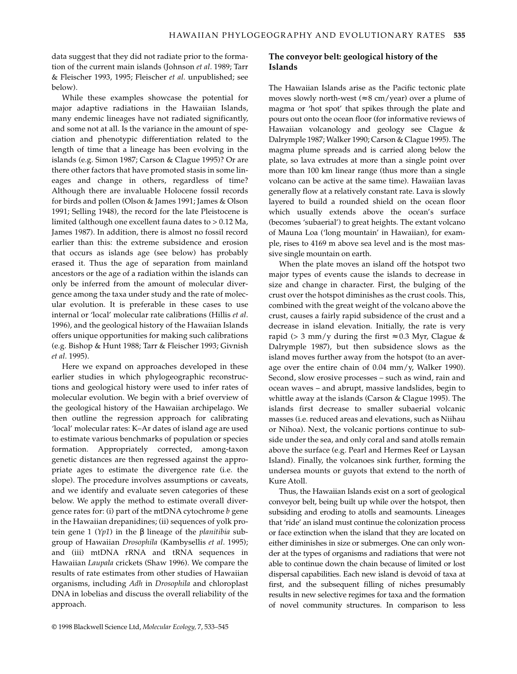data suggest that they did not radiate prior to the formation of the current main islands (Johnson *et al*. 1989; Tarr & Fleischer 1993, 1995; Fleischer *et al*. unpublished; see below).

While these examples showcase the potential for major adaptive radiations in the Hawaiian Islands, many endemic lineages have not radiated significantly, and some not at all. Is the variance in the amount of speciation and phenotypic differentiation related to the length of time that a lineage has been evolving in the islands (e.g. Simon 1987; Carson & Clague 1995)? Or are there other factors that have promoted stasis in some lineages and change in others, regardless of time? Although there are invaluable Holocene fossil records for birds and pollen (Olson & James 1991; James & Olson 1991; Selling 1948), the record for the late Pleistocene is limited (although one excellent fauna dates to > 0.12 Ma, James 1987). In addition, there is almost no fossil record earlier than this: the extreme subsidence and erosion that occurs as islands age (see below) has probably erased it. Thus the age of separation from mainland ancestors or the age of a radiation within the islands can only be inferred from the amount of molecular divergence among the taxa under study and the rate of molecular evolution. It is preferable in these cases to use internal or 'local' molecular rate calibrations (Hillis *et al*. 1996), and the geological history of the Hawaiian Islands offers unique opportunities for making such calibrations (e.g. Bishop & Hunt 1988; Tarr & Fleischer 1993; Givnish *et al*. 1995).

Here we expand on approaches developed in these earlier studies in which phylogeographic reconstructions and geological history were used to infer rates of molecular evolution. We begin with a brief overview of the geological history of the Hawaiian archipelago. We then outline the regression approach for calibrating 'local' molecular rates: K–Ar dates of island age are used to estimate various benchmarks of population or species formation. Appropriately corrected, among-taxon genetic distances are then regressed against the appropriate ages to estimate the divergence rate (i.e. the slope). The procedure involves assumptions or caveats, and we identify and evaluate seven categories of these below. We apply the method to estimate overall divergence rates for: (i) part of the mtDNA cytochrome *b* gene in the Hawaiian drepanidines; (ii) sequences of yolk protein gene 1 (*Yp1*) in the β lineage of the *planitibia* subgroup of Hawaiian *Drosophila* (Kambysellis *et al*. 1995); and (iii) mtDNA rRNA and tRNA sequences in Hawaiian *Laupala* crickets (Shaw 1996). We compare the results of rate estimates from other studies of Hawaiian organisms, including *Adh* in *Drosophila* and chloroplast DNA in lobelias and discuss the overall reliability of the approach.

#### **The conveyor belt: geological history of the Islands**

The Hawaiian Islands arise as the Pacific tectonic plate moves slowly north-west ( $\approx 8$  cm/year) over a plume of magma or 'hot spot' that spikes through the plate and pours out onto the ocean floor (for informative reviews of Hawaiian volcanology and geology see Clague & Dalrymple 1987; Walker 1990; Carson & Clague 1995). The magma plume spreads and is carried along below the plate, so lava extrudes at more than a single point over more than 100 km linear range (thus more than a single volcano can be active at the same time). Hawaiian lavas generally flow at a relatively constant rate. Lava is slowly layered to build a rounded shield on the ocean floor which usually extends above the ocean's surface (becomes 'subaerial') to great heights. The extant volcano of Mauna Loa ('long mountain' in Hawaiian), for example, rises to 4169 m above sea level and is the most massive single mountain on earth.

When the plate moves an island off the hotspot two major types of events cause the islands to decrease in size and change in character. First, the bulging of the crust over the hotspot diminishes as the crust cools. This, combined with the great weight of the volcano above the crust, causes a fairly rapid subsidence of the crust and a decrease in island elevation. Initially, the rate is very rapid (> 3 mm/y during the first  $\approx 0.3$  Myr, Clague & Dalrymple 1987), but then subsidence slows as the island moves further away from the hotspot (to an average over the entire chain of 0.04 mm/y, Walker 1990). Second, slow erosive processes – such as wind, rain and ocean waves – and abrupt, massive landslides, begin to whittle away at the islands (Carson & Clague 1995). The islands first decrease to smaller subaerial volcanic masses (i.e. reduced areas and elevations, such as Niihau or Nihoa). Next, the volcanic portions continue to subside under the sea, and only coral and sand atolls remain above the surface (e.g. Pearl and Hermes Reef or Laysan Island). Finally, the volcanoes sink further, forming the undersea mounts or guyots that extend to the north of Kure Atoll.

Thus, the Hawaiian Islands exist on a sort of geological conveyor belt, being built up while over the hotspot, then subsiding and eroding to atolls and seamounts. Lineages that 'ride' an island must continue the colonization process or face extinction when the island that they are located on either diminishes in size or submerges. One can only wonder at the types of organisms and radiations that were not able to continue down the chain because of limited or lost dispersal capabilities. Each new island is devoid of taxa at first, and the subsequent filling of niches presumably results in new selective regimes for taxa and the formation of novel community structures. In comparison to less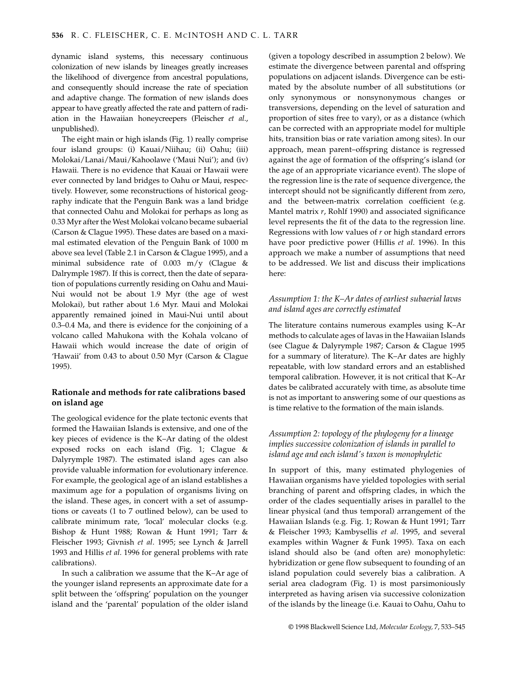dynamic island systems, this necessary continuous colonization of new islands by lineages greatly increases the likelihood of divergence from ancestral populations, and consequently should increase the rate of speciation and adaptive change. The formation of new islands does appear to have greatly affected the rate and pattern of radiation in the Hawaiian honeycreepers (Fleischer *et al*., unpublished).

The eight main or high islands (Fig. 1) really comprise four island groups: (i) Kauai/Niihau; (ii) Oahu; (iii) Molokai/Lanai/Maui/Kahoolawe ('Maui Nui'); and (iv) Hawaii. There is no evidence that Kauai or Hawaii were ever connected by land bridges to Oahu or Maui, respectively. However, some reconstructions of historical geography indicate that the Penguin Bank was a land bridge that connected Oahu and Molokai for perhaps as long as 0.33 Myr after the West Molokai volcano became subaerial (Carson & Clague 1995). These dates are based on a maximal estimated elevation of the Penguin Bank of 1000 m above sea level (Table 2.1 in Carson & Clague 1995), and a minimal subsidence rate of 0.003 m/y (Clague & Dalrymple 1987). If this is correct, then the date of separation of populations currently residing on Oahu and Maui-Nui would not be about 1.9 Myr (the age of west Molokai), but rather about 1.6 Myr. Maui and Molokai apparently remained joined in Maui-Nui until about 0.3–0.4 Ma, and there is evidence for the conjoining of a volcano called Mahukona with the Kohala volcano of Hawaii which would increase the date of origin of 'Hawaii' from 0.43 to about 0.50 Myr (Carson & Clague 1995).

# **Rationale and methods for rate calibrations based on island age**

The geological evidence for the plate tectonic events that formed the Hawaiian Islands is extensive, and one of the key pieces of evidence is the K–Ar dating of the oldest exposed rocks on each island (Fig. 1; Clague & Dalyrymple 1987). The estimated island ages can also provide valuable information for evolutionary inference. For example, the geological age of an island establishes a maximum age for a population of organisms living on the island. These ages, in concert with a set of assumptions or caveats (1 to 7 outlined below), can be used to calibrate minimum rate, 'local' molecular clocks (e.g. Bishop & Hunt 1988; Rowan & Hunt 1991; Tarr & Fleischer 1993; Givnish *et al*. 1995; see Lynch & Jarrell 1993 and Hillis *et al*. 1996 for general problems with rate calibrations).

In such a calibration we assume that the K–Ar age of the younger island represents an approximate date for a split between the 'offspring' population on the younger island and the 'parental' population of the older island (given a topology described in assumption 2 below). We estimate the divergence between parental and offspring populations on adjacent islands. Divergence can be estimated by the absolute number of all substitutions (or only synonymous or nonsynonymous changes or transversions, depending on the level of saturation and proportion of sites free to vary), or as a distance (which can be corrected with an appropriate model for multiple hits, transition bias or rate variation among sites). In our approach, mean parent–offspring distance is regressed against the age of formation of the offspring's island (or the age of an appropriate vicariance event). The slope of the regression line is the rate of sequence divergence, the intercept should not be significantly different from zero, and the between-matrix correlation coefficient (e.g. Mantel matrix *r*, Rohlf 1990) and associated significance level represents the fit of the data to the regression line. Regressions with low values of *r* or high standard errors have poor predictive power (Hillis *et al*. 1996). In this approach we make a number of assumptions that need to be addressed. We list and discuss their implications here:

#### *Assumption 1: the K–Ar dates of earliest subaerial lavas and island ages are correctly estimated*

The literature contains numerous examples using K–Ar methods to calculate ages of lavas in the Hawaiian Islands (see Clague & Dalyrymple 1987; Carson & Clague 1995 for a summary of literature). The K–Ar dates are highly repeatable, with low standard errors and an established temporal calibration. However, it is not critical that K–Ar dates be calibrated accurately with time, as absolute time is not as important to answering some of our questions as is time relative to the formation of the main islands.

# *Assumption 2: topology of the phylogeny for a lineage implies successive colonization of islands in parallel to island age and each island's taxon is monophyletic*

In support of this, many estimated phylogenies of Hawaiian organisms have yielded topologies with serial branching of parent and offspring clades, in which the order of the clades sequentially arises in parallel to the linear physical (and thus temporal) arrangement of the Hawaiian Islands (e.g. Fig. 1; Rowan & Hunt 1991; Tarr & Fleischer 1993; Kambysellis *et al*. 1995, and several examples within Wagner & Funk 1995). Taxa on each island should also be (and often are) monophyletic: hybridization or gene flow subsequent to founding of an island population could severely bias a calibration. A serial area cladogram (Fig. 1) is most parsimoniously interpreted as having arisen via successive colonization of the islands by the lineage (i.e. Kauai to Oahu, Oahu to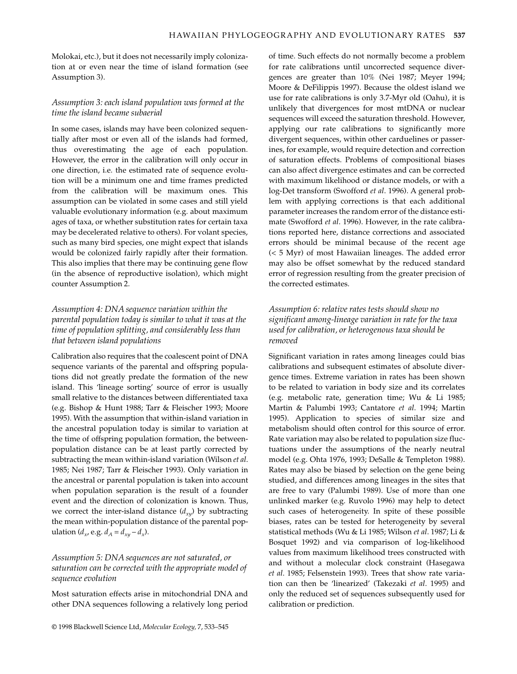Molokai, etc.), but it does not necessarily imply colonization at or even near the time of island formation (see Assumption 3).

### *Assumption 3: each island population was formed at the time the island became subaerial*

In some cases, islands may have been colonized sequentially after most or even all of the islands had formed, thus overestimating the age of each population. However, the error in the calibration will only occur in one direction, i.e. the estimated rate of sequence evolution will be a minimum one and time frames predicted from the calibration will be maximum ones. This assumption can be violated in some cases and still yield valuable evolutionary information (e.g. about maximum ages of taxa, or whether substitution rates for certain taxa may be decelerated relative to others). For volant species, such as many bird species, one might expect that islands would be colonized fairly rapidly after their formation. This also implies that there may be continuing gene flow (in the absence of reproductive isolation), which might counter Assumption 2.

# *Assumption 4: DNA sequence variation within the parental population today is similar to what it was at the time of population splitting, and considerably less than that between island populations*

Calibration also requires that the coalescent point of DNA sequence variants of the parental and offspring populations did not greatly predate the formation of the new island. This 'lineage sorting' source of error is usually small relative to the distances between differentiated taxa (e.g. Bishop & Hunt 1988; Tarr & Fleischer 1993; Moore 1995). With the assumption that within-island variation in the ancestral population today is similar to variation at the time of offspring population formation, the betweenpopulation distance can be at least partly corrected by subtracting the mean within-island variation (Wilson *et al*. 1985; Nei 1987; Tarr & Fleischer 1993). Only variation in the ancestral or parental population is taken into account when population separation is the result of a founder event and the direction of colonization is known. Thus, we correct the inter-island distance  $(d_{x\nu})$  by subtracting the mean within-population distance of the parental population ( $d_x$ , e.g.  $d_A = d_{xy} - d_x$ ).

## *Assumption 5: DNA sequences are not saturated, or saturation can be corrected with the appropriate model of sequence evolution*

Most saturation effects arise in mitochondrial DNA and other DNA sequences following a relatively long period

of time. Such effects do not normally become a problem for rate calibrations until uncorrected sequence divergences are greater than 10% (Nei 1987; Meyer 1994; Moore & DeFilippis 1997). Because the oldest island we use for rate calibrations is only 3.7-Myr old (Oahu), it is unlikely that divergences for most mtDNA or nuclear sequences will exceed the saturation threshold. However, applying our rate calibrations to significantly more divergent sequences, within other carduelines or passerines, for example, would require detection and correction of saturation effects. Problems of compositional biases can also affect divergence estimates and can be corrected with maximum likelihood or distance models, or with a log-Det transform (Swofford *et al*. 1996). A general problem with applying corrections is that each additional parameter increases the random error of the distance estimate (Swofford *et al*. 1996). However, in the rate calibrations reported here, distance corrections and associated errors should be minimal because of the recent age (< 5 Myr) of most Hawaiian lineages. The added error may also be offset somewhat by the reduced standard error of regression resulting from the greater precision of the corrected estimates.

## *Assumption 6: relative rates tests should show no significant among-lineage variation in rate for the taxa used for calibration, or heterogenous taxa should be removed*

Significant variation in rates among lineages could bias calibrations and subsequent estimates of absolute divergence times. Extreme variation in rates has been shown to be related to variation in body size and its correlates (e.g. metabolic rate, generation time; Wu & Li 1985; Martin & Palumbi 1993; Cantatore *et al*. 1994; Martin 1995). Application to species of similar size and metabolism should often control for this source of error. Rate variation may also be related to population size fluctuations under the assumptions of the nearly neutral model (e.g. Ohta 1976, 1993; DeSalle & Templeton 1988). Rates may also be biased by selection on the gene being studied, and differences among lineages in the sites that are free to vary (Palumbi 1989). Use of more than one unlinked marker (e.g. Ruvolo 1996) may help to detect such cases of heterogeneity. In spite of these possible biases, rates can be tested for heterogeneity by several statistical methods (Wu & Li 1985; Wilson *et al*. 1987; Li & Bosquet 1992) and via comparison of log-likelihood values from maximum likelihood trees constructed with and without a molecular clock constraint (Hasegawa *et al*. 1985; Felsenstein 1993). Trees that show rate variation can then be 'linearized' (Takezaki *et al*. 1995) and only the reduced set of sequences subsequently used for calibration or prediction.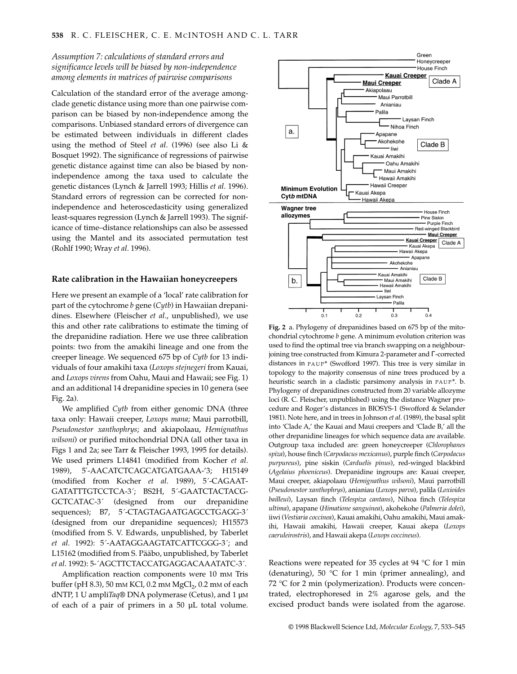# *Assumption 7: calculations of standard errors and significance levels will be biased by non-independence among elements in matrices of pairwise comparisons*

Calculation of the standard error of the average amongclade genetic distance using more than one pairwise comparison can be biased by non-independence among the comparisons. Unbiased standard errors of divergence can be estimated between individuals in different clades using the method of Steel *et al*. (1996) (see also Li & Bosquet 1992). The significance of regressions of pairwise genetic distance against time can also be biased by nonindependence among the taxa used to calculate the genetic distances (Lynch & Jarrell 1993; Hillis *et al*. 1996). Standard errors of regression can be corrected for nonindependence and heteroscedasticity using generalized least-squares regression (Lynch & Jarrell 1993). The significance of time–distance relationships can also be assessed using the Mantel and its associated permutation test (Rohlf 1990; Wray *et al*. 1996).

#### **Rate calibration in the Hawaiian honeycreepers**

Here we present an example of a 'local' rate calibration for part of the cytochrome *b* gene (*Cytb*) in Hawaiian drepanidines. Elsewhere (Fleischer *et al*., unpublished), we use this and other rate calibrations to estimate the timing of the drepanidine radiation. Here we use three calibration points: two from the amakihi lineage and one from the creeper lineage. We sequenced 675 bp of *Cytb* for 13 individuals of four amakihi taxa (*Loxops stejnegeri* from Kauai, and *Loxops virens* from Oahu, Maui and Hawaii; see Fig. 1) and an additional 14 drepanidine species in 10 genera (see Fig. 2a).

We amplified *Cytb* from either genomic DNA (three taxa only: Hawaii creeper, *Loxops mana*; Maui parrotbill, *Pseudonestor xanthophrys*; and akiapolaau, *Hemignathus wilsoni*) or purified mitochondrial DNA (all other taxa in Figs 1 and 2a; see Tarr & Fleischer 1993, 1995 for details). We used primers L14841 (modified from Kocher *et al*. 1989), 5′-AACATCTCAGCATGATGAAA-'3; H15149 (modified from Kocher *et al*. 1989), 5´-CAGAAT-GATATTTGTCCTCA-3´; BS2H, 5´-GAATCTACTACG-GCTCATAC-3´ (designed from our drepanidine sequences); B7, 5'-CTAGTAGAATGAGCCTGAGG-3' (designed from our drepanidine sequences); H15573 (modified from S. V. Edwards, unpublished, by Taberlet *et al*. 1992): 5´-AATAGGAAGTATCATTCGGG-3´; and L15162 (modified from S. Pääbo, unpublished, by Taberlet *et al*. 1992): 5-´AGCTTCTACCATGAGGACAAATATC-3´.

Amplification reaction components were 10 mm Tris buffer (pH 8.3), 50 mM KCl, 0.2 mM  $MgCl<sub>2</sub>$ , 0.2 mM of each dNTP, 1 U ampli*Taq*® DNA polymerase (Cetus), and 1 µM of each of a pair of primers in a 50 µL total volume.



**Fig. 2** a. Phylogeny of drepanidines based on 675 bp of the mitochondrial cytochrome *b* gene. A minimum evolution criterion was used to find the optimal tree via branch swapping on a neighbourjoining tree constructed from Kimura 2-parameter and Γ-corrected distances in PAUP\* (Swofford 1997). This tree is very similar in topology to the majority consensus of nine trees produced by a heuristic search in a cladistic parsimony analysis in PAUP<sup>\*</sup>. b. Phylogeny of drepanidines constructed from 20 variable allozyme loci (R. C. Fleischer, unpublished) using the distance Wagner procedure and Roger's distances in BIOSYS-1 (Swofford & Selander 1981). Note here, and in trees in Johnson *et al*. (1989), the basal split into 'Clade A,' the Kauai and Maui creepers and 'Clade B,' all the other drepanidine lineages for which sequence data are available. Outgroup taxa included are: green honeycreeper (*Chlorophanes spiza*), house finch (*Carpodacus mexicanus*), purple finch (*Carpodacus purpureus*), pine siskin (*Carduelis pinus*), red-winged blackbird (*Agelaius phoeniceus*). Drepanidine ingroups are: Kauai creeper, Maui creeper, akiapolaau (*Hemignathus wilsoni*), Maui parrotbill (*Pseudonestor xanthophrys*), anianiau (*Loxops parva*), palila (*Loxioides bailleui*), Laysan finch (*Telespiza cantans*), Nihoa finch (*Telespiza ultima*), apapane (*Himatione sanguinea*), akohekohe (*Palmeria dolei*), iiwi (*Vestiaria coccinea*), Kauai amakihi, Oahu amakihi, Maui amakihi, Hawaii amakihi, Hawaii creeper, Kauai akepa (*Loxops caeruleirostris*), and Hawaii akepa (*Loxops coccineus*).

Reactions were repeated for 35 cycles at 94 °C for 1 min (denaturing), 50 °C for 1 min (primer annealing), and 72 °C for 2 min (polymerization). Products were concentrated, electrophoresed in 2% agarose gels, and the excised product bands were isolated from the agarose.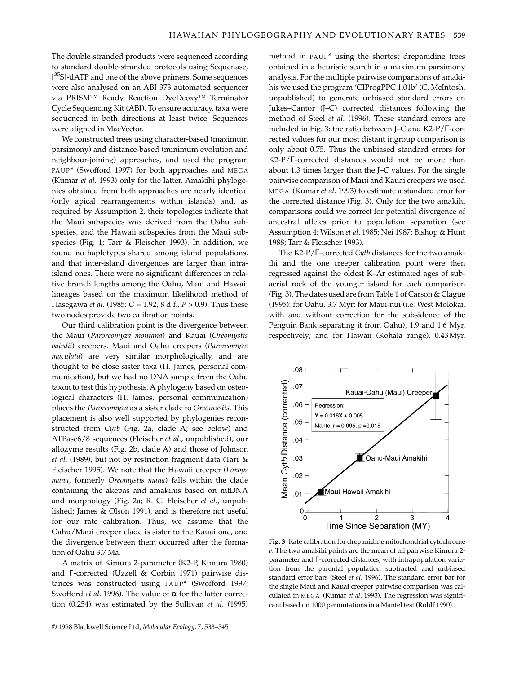The double-stranded products were sequenced according to standard double-stranded protocols using Sequenase, [<sup>35</sup>S]-dATP and one of the above primers. Some sequences were also analysed on an ABI 373 automated sequencer via PRISM™ Ready Reaction DyeDeoxy™ Terminator Cycle Sequencing Kit (ABI). To ensure accuracy, taxa were sequenced in both directions at least twice. Sequences were aligned in MacVector.

We constructed trees using character-based (maximum parsimony) and distance-based (minimum evolution and neighbour-joining) approaches, and used the program PAUP\* (Swofford 1997) for both approaches and MEGA (Kumar *et al*. 1993) only for the latter. Amakihi phylogenies obtained from both approaches are nearly identical (only apical rearrangements within islands) and, as required by Assumption 2, their topologies indicate that the Maui subspecies was derived from the Oahu subspecies, and the Hawaii subspecies from the Maui subspecies (Fig. 1; Tarr & Fleischer 1993). In addition, we found no haplotypes shared among island populations, and that inter-island divergences are larger than intraisland ones. There were no significant differences in relative branch lengths among the Oahu, Maui and Hawaii lineages based on the maximum likelihood method of Hasegawa *et al*. (1985: *G* = 1.92, 8 d.f., *P* > 0.9). Thus these two nodes provide two calibration points.

Our third calibration point is the divergence between the Maui (*Paroreomyza montana*) and Kauai (*Oreomystis bairdii*) creepers. Maui and Oahu creepers (*Paroreomyza maculata*) are very similar morphologically, and are thought to be close sister taxa (H. James, personal communication), but we had no DNA sample from the Oahu taxon to test this hypothesis. A phylogeny based on osteological characters (H. James, personal communication) places the *Paroreomyza* as a sister clade to *Oreomystis.* This placement is also well supported by phylogenies reconstructed from *Cytb* (Fig. 2a, clade A; see below) and ATPase6/8 sequences (Fleischer *et al*., unpublished), our allozyme results (Fig. 2b, clade A) and those of Johnson *et al*. (1989), but not by restriction fragment data (Tarr & Fleischer 1995). We note that the Hawaii creeper (*Loxops mana*, formerly *Oreomystis mana*) falls within the clade containing the akepas and amakihis based on mtDNA and morphology (Fig. 2a; R. C. Fleischer *et al*., unpublished; James & Olson 1991), and is therefore not useful for our rate calibration. Thus, we assume that the Oahu/Maui creeper clade is sister to the Kauai one, and the divergence between them occurred after the formation of Oahu 3.7 Ma.

A matrix of Kimura 2-parameter (K2-P, Kimura 1980) and Γ-corrected (Uzzell & Corbin 1971) pairwise distances was constructed using PAUP\* (Swofford 1997; Swofford *et al*. 1996). The value of α for the latter correction (0.254) was estimated by the Sullivan *et al*. (1995) method in PAUP\* using the shortest drepanidine trees obtained in a heuristic search in a maximum parsimony analysis. For the multiple pairwise comparisons of amakihis we used the program 'CIProgPPC 1.01b' (C. McIntosh, unpublished) to generate unbiased standard errors on Jukes–Cantor (J–C) corrected distances following the method of Steel *et al*. (1996). These standard errors are included in Fig. 3: the ratio between J–C and K2-P/Γ-corrected values for our most distant ingroup comparison is only about 0.75. Thus the unbiased standard errors for K2-P/Γ-corrected distances would not be more than about 1.3 times larger than the J–*C* values. For the single pairwise comparison of Maui and Kauai creepers we used MEGA (Kumar *et al*. 1993) to estimate a standard error for the corrected distance (Fig. 3). Only for the two amakihi comparisons could we correct for potential divergence of ancestral alleles prior to population separation (see Assumption 4; Wilson *et al*. 1985; Nei 1987; Bishop & Hunt 1988; Tarr & Fleischer 1993).

The K2-P/Γ-corrected *Cytb* distances for the two amakihi and the one creeper calibration point were then regressed against the oldest K–Ar estimated ages of subaerial rock of the younger island for each comparison (Fig. 3). The dates used are from Table 1 of Carson & Clague (1995): for Oahu, 3.7 Myr; for Maui-nui (i.e. West Molokai, with and without correction for the subsidence of the Penguin Bank separating it from Oahu), 1.9 and 1.6 Myr, respectively; and for Hawaii (Kohala range), 0.43 Myr.



**Fig. 3** Rate calibration for drepanidine mitochondrial cytochrome *b*. The two amakihi points are the mean of all pairwise Kimura 2 parameter and Γ-corrected distances, with intrapopulation variation from the parental population subtracted and unbiased standard error bars (Steel *et al*. 1996). The standard error bar for the single Maui and Kauai creeper pairwise comparison was calculated in MEGA (Kumar *et al*. 1993). The regression was significant based on 1000 permutations in a Mantel test (Rohlf 1990).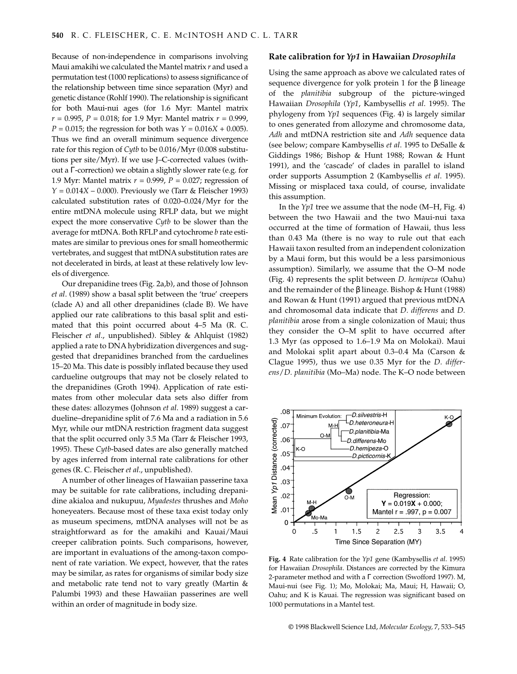Because of non-independence in comparisons involving Maui amakihi we calculated the Mantel matrix *r* and used a permutation test (1000 replications) to assess significance of the relationship between time since separation (Myr) and genetic distance (Rohlf 1990). The relationship is significant for both Maui-nui ages (for 1.6 Myr: Mantel matrix *r* = 0.995, *P* = 0.018; for 1.9 Myr: Mantel matrix *r* = 0.999, *P* = 0.015; the regression for both was  $Y = 0.016X + 0.005$ . Thus we find an overall minimum sequence divergence rate for this region of *Cytb* to be 0.016/Myr (0.008 substitutions per site/Myr). If we use J–C-corrected values (without a Γ-correction) we obtain a slightly slower rate (e.g. for 1.9 Myr: Mantel matrix *r* = 0.999, *P* = 0.027; regression of *Y* = 0.014*X* – 0.000). Previously we (Tarr & Fleischer 1993) calculated substitution rates of 0.020–0.024/Myr for the entire mtDNA molecule using RFLP data, but we might expect the more conservative *Cytb* to be slower than the average for mtDNA. Both RFLP and cytochrome *b* rate estimates are similar to previous ones for small homeothermic vertebrates, and suggest that mtDNA substitution rates are not decelerated in birds, at least at these relatively low levels of divergence.

Our drepanidine trees (Fig. 2a,b), and those of Johnson *et al*. (1989) show a basal split between the 'true' creepers (clade A) and all other drepanidines (clade B). We have applied our rate calibrations to this basal split and estimated that this point occurred about 4–5 Ma (R. C. Fleischer *et al*., unpublished). Sibley & Ahlquist (1982) applied a rate to DNA hybridization divergences and suggested that drepanidines branched from the carduelines 15–20 Ma. This date is possibly inflated because they used cardueline outgroups that may not be closely related to the drepanidines (Groth 1994). Application of rate estimates from other molecular data sets also differ from these dates: allozymes (Johnson *et al*. 1989) suggest a cardueline–drepanidine split of 7.6 Ma and a radiation in 5.6 Myr, while our mtDNA restriction fragment data suggest that the split occurred only 3.5 Ma (Tarr & Fleischer 1993, 1995). These *Cytb*-based dates are also generally matched by ages inferred from internal rate calibrations for other genes (R. C. Fleischer *et al*., unpublished).

A number of other lineages of Hawaiian passerine taxa may be suitable for rate calibrations, including drepanidine akialoa and nukupuu, *Myadestes* thrushes and *Moho* honeyeaters. Because most of these taxa exist today only as museum specimens, mtDNA analyses will not be as straightforward as for the amakihi and Kauai/Maui creeper calibration points. Such comparisons, however, are important in evaluations of the among-taxon component of rate variation. We expect, however, that the rates may be similar, as rates for organisms of similar body size and metabolic rate tend not to vary greatly (Martin  $&$ Palumbi 1993) and these Hawaiian passerines are well within an order of magnitude in body size.

#### **Rate calibration for** *Yp1* **in Hawaiian** *Drosophila*

Using the same approach as above we calculated rates of sequence divergence for yolk protein 1 for the β lineage of the *planitibia* subgroup of the picture-winged Hawaiian *Drosophila* (*Yp1*, Kambysellis *et al*. 1995). The phylogeny from *Yp1* sequences (Fig. 4) is largely similar to ones generated from allozyme and chromosome data, *Adh* and mtDNA restriction site and *Adh* sequence data (see below; compare Kambysellis *et al*. 1995 to DeSalle & Giddings 1986; Bishop & Hunt 1988; Rowan & Hunt 1991), and the 'cascade' of clades in parallel to island order supports Assumption 2 (Kambysellis *et al*. 1995). Missing or misplaced taxa could, of course, invalidate this assumption.

In the *Yp1* tree we assume that the node (M–H, Fig. 4) between the two Hawaii and the two Maui-nui taxa occurred at the time of formation of Hawaii, thus less than 0.43 Ma (there is no way to rule out that each Hawaii taxon resulted from an independent colonization by a Maui form, but this would be a less parsimonious assumption). Similarly, we assume that the O–M node (Fig. 4) represents the split between *D. hemipeza* (Oahu) and the remainder of the β lineage. Bishop & Hunt (1988) and Rowan & Hunt (1991) argued that previous mtDNA and chromosomal data indicate that *D. differens* and *D. planitibia* arose from a single colonization of Maui; thus they consider the O–M split to have occurred after 1.3 Myr (as opposed to 1.6–1.9 Ma on Molokai). Maui and Molokai split apart about 0.3–0.4 Ma (Carson & Clague 1995), thus we use 0.35 Myr for the *D. differens*/*D. planitibia* (Mo–Ma) node. The K–O node between



**Fig. 4** Rate calibration for the *Yp1* gene (Kambysellis *et al*. 1995) for Hawaiian *Drosophila*. Distances are corrected by the Kimura 2-parameter method and with a Γ correction (Swofford 1997). M, Maui-nui (see Fig. 1); Mo, Molokai; Ma, Maui; H, Hawaii; O, Oahu; and K is Kauai. The regression was significant based on 1000 permutations in a Mantel test.

© 1998 Blackwell Science Ltd, *Molecular Ecology,* 7, 533–545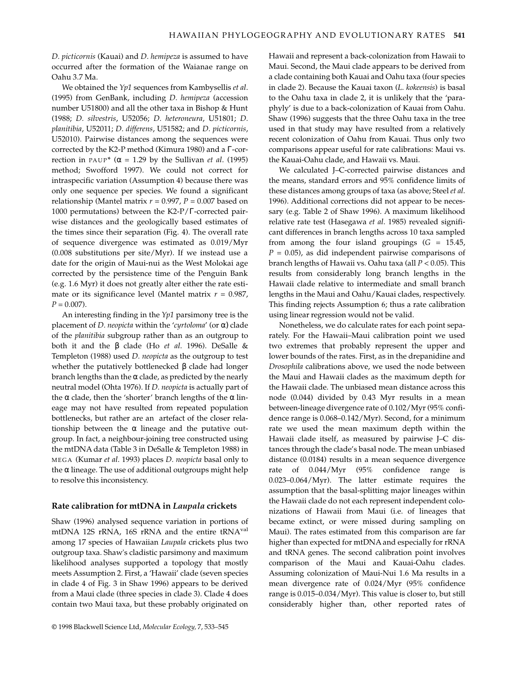*D. picticornis* (Kauai) and *D. hemipeza* is assumed to have occurred after the formation of the Waianae range on Oahu 3.7 Ma.

We obtained the *Yp1* sequences from Kambysellis *et al*. (1995) from GenBank, including *D. hemipeza* (accession number U51800) and all the other taxa in Bishop & Hunt (1988; *D. silvestris*, U52056; *D. heteroneura*, U51801; *D. planitibia*, U52011; *D. differens*, U51582; and *D. picticornis*, U52010). Pairwise distances among the sequences were corrected by the K2-P method (Kimura 1980) and a Γ-correction in PAUP<sup>\*</sup> ( $\alpha$  = 1.29 by the Sullivan *et al.* (1995) method; Swofford 1997). We could not correct for intraspecific variation (Assumption 4) because there was only one sequence per species. We found a significant relationship (Mantel matrix  $r = 0.997$ ,  $P = 0.007$  based on 1000 permutations) between the K2-P/Γ-corrected pairwise distances and the geologically based estimates of the times since their separation (Fig. 4). The overall rate of sequence divergence was estimated as 0.019/Myr (0.008 substitutions per site/Myr). If we instead use a date for the origin of Maui-nui as the West Molokai age corrected by the persistence time of the Penguin Bank (e.g. 1.6 Myr) it does not greatly alter either the rate estimate or its significance level (Mantel matrix *r* = 0.987,  $P = 0.007$ .

An interesting finding in the *Yp1* parsimony tree is the placement of *D. neopicta* within the '*cyrtoloma*' (or α) clade of the *planitibia* subgroup rather than as an outgroup to both it and the β clade (Ho *et al*. 1996). DeSalle & Templeton (1988) used *D. neopicta* as the outgroup to test whether the putatively bottlenecked β clade had longer branch lengths than the  $\alpha$  clade, as predicted by the nearly neutral model (Ohta 1976). If *D. neopicta* is actually part of the  $\alpha$  clade, then the 'shorter' branch lengths of the  $\alpha$  lineage may not have resulted from repeated population bottlenecks, but rather are an artefact of the closer relationship between the  $\alpha$  lineage and the putative outgroup. In fact, a neighbour-joining tree constructed using the mtDNA data (Table 3 in DeSalle & Templeton 1988) in MEGA (Kumar *et al*. 1993) places *D. neopicta* basal only to the  $\alpha$  lineage. The use of additional outgroups might help to resolve this inconsistency.

#### **Rate calibration for mtDNA in** *Laupala* **crickets**

Shaw (1996) analysed sequence variation in portions of mtDNA 12S rRNA, 16S rRNA and the entire tRNAval among 17 species of Hawaiian *Laupala* crickets plus two outgroup taxa. Shaw's cladistic parsimony and maximum likelihood analyses supported a topology that mostly meets Assumption 2. First, a 'Hawaii' clade (seven species in clade 4 of Fig. 3 in Shaw 1996) appears to be derived from a Maui clade (three species in clade 3). Clade 4 does contain two Maui taxa, but these probably originated on

Hawaii and represent a back-colonization from Hawaii to Maui. Second, the Maui clade appears to be derived from a clade containing both Kauai and Oahu taxa (four species in clade 2). Because the Kauai taxon (*L. kokeensis*) is basal to the Oahu taxa in clade 2, it is unlikely that the 'paraphyly' is due to a back-colonization of Kauai from Oahu. Shaw (1996) suggests that the three Oahu taxa in the tree used in that study may have resulted from a relatively recent colonization of Oahu from Kauai. Thus only two comparisons appear useful for rate calibrations: Maui vs. the Kauai-Oahu clade, and Hawaii vs. Maui.

We calculated J–C-corrected pairwise distances and the means, standard errors and 95% confidence limits of these distances among groups of taxa (as above; Steel *et al*. 1996). Additional corrections did not appear to be necessary (e.g. Table 2 of Shaw 1996). A maximum likelihood relative rate test (Hasegawa *et al*. 1985) revealed significant differences in branch lengths across 10 taxa sampled from among the four island groupings (*G* = 15.45,  $P = 0.05$ ), as did independent pairwise comparisons of branch lengths of Hawaii vs. Oahu taxa (all *P* < 0.05). This results from considerably long branch lengths in the Hawaii clade relative to intermediate and small branch lengths in the Maui and Oahu/Kauai clades, respectively. This finding rejects Assumption 6; thus a rate calibration using linear regression would not be valid.

Nonetheless, we do calculate rates for each point separately. For the Hawaii–Maui calibration point we used two extremes that probably represent the upper and lower bounds of the rates. First, as in the drepanidine and *Drosophila* calibrations above, we used the node between the Maui and Hawaii clades as the maximum depth for the Hawaii clade. The unbiased mean distance across this node (0.044) divided by 0.43 Myr results in a mean between-lineage divergence rate of 0.102/Myr (95% confidence range is 0.068–0.142/Myr). Second, for a minimum rate we used the mean maximum depth within the Hawaii clade itself, as measured by pairwise J–C distances through the clade's basal node. The mean unbiased distance (0.0184) results in a mean sequence divergence rate of 0.044/Myr (95% confidence range is 0.023–0.064/Myr). The latter estimate requires the assumption that the basal-splitting major lineages within the Hawaii clade do not each represent independent colonizations of Hawaii from Maui (i.e. of lineages that became extinct, or were missed during sampling on Maui). The rates estimated from this comparison are far higher than expected for mtDNA and especially for rRNA and tRNA genes. The second calibration point involves comparison of the Maui and Kauai-Oahu clades. Assuming colonization of Maui-Nui 1.6 Ma results in a mean divergence rate of 0.024/Myr (95% confidence range is 0.015–0.034/Myr). This value is closer to, but still considerably higher than, other reported rates of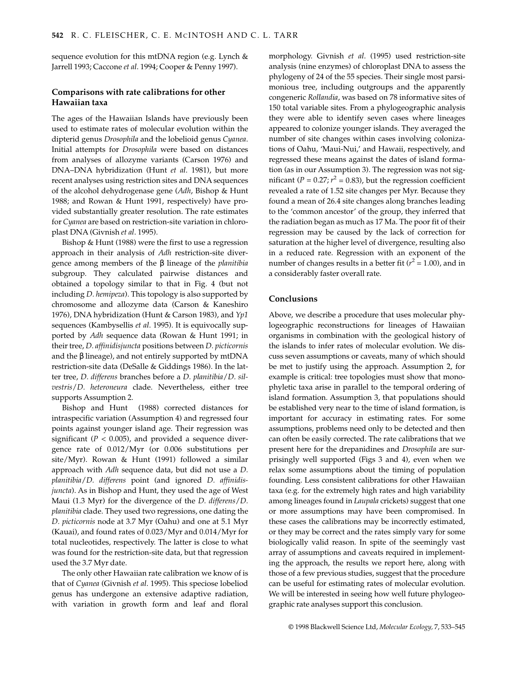sequence evolution for this mtDNA region (e.g. Lynch & Jarrell 1993; Caccone *et al*. 1994; Cooper & Penny 1997).

# **Comparisons with rate calibrations for other Hawaiian taxa**

The ages of the Hawaiian Islands have previously been used to estimate rates of molecular evolution within the dipterid genus *Drosophila* and the lobelioid genus *Cyanea*. Initial attempts for *Drosophila* were based on distances from analyses of allozyme variants (Carson 1976) and DNA–DNA hybridization (Hunt *et al*. 1981), but more recent analyses using restriction sites and DNA sequences of the alcohol dehydrogenase gene (*Adh*, Bishop & Hunt 1988; and Rowan & Hunt 1991, respectively) have provided substantially greater resolution. The rate estimates for *Cyanea* are based on restriction-site variation in chloroplast DNA (Givnish *et al*. 1995).

Bishop & Hunt (1988) were the first to use a regression approach in their analysis of *Adh* restriction-site divergence among members of the β lineage of the *planitibia* subgroup. They calculated pairwise distances and obtained a topology similar to that in Fig. 4 (but not including *D. hemipeza*). This topology is also supported by chromosome and allozyme data (Carson & Kaneshiro 1976), DNA hybridization (Hunt & Carson 1983), and *Yp1* sequences (Kambysellis *et al*. 1995). It is equivocally supported by *Adh* sequence data (Rowan & Hunt 1991; in their tree, *D. affinidisjuncta* positions between *D. picticornis* and the β lineage), and not entirely supported by mtDNA restriction-site data (DeSalle & Giddings 1986). In the latter tree, *D. differens* branches before a *D. planitibia*/*D. silvestris*/*D. heteroneura* clade. Nevertheless, either tree supports Assumption 2.

Bishop and Hunt (1988) corrected distances for intraspecific variation (Assumption 4) and regressed four points against younger island age. Their regression was significant ( $P < 0.005$ ), and provided a sequence divergence rate of 0.012/Myr (or 0.006 substitutions per site/Myr). Rowan & Hunt (1991) followed a similar approach with *Adh* sequence data, but did not use a *D. planitibia*/*D. differens* point (and ignored *D. affinidisjuncta*). As in Bishop and Hunt, they used the age of West Maui (1.3 Myr) for the divergence of the *D. differens*/*D. planitibia* clade. They used two regressions, one dating the *D. picticornis* node at 3.7 Myr (Oahu) and one at 5.1 Myr (Kauai), and found rates of 0.023/Myr and 0.014/Myr for total nucleotides, respectively. The latter is close to what was found for the restriction-site data, but that regression used the 3.7 Myr date.

The only other Hawaiian rate calibration we know of is that of *Cyanea* (Givnish *et al*. 1995). This speciose lobeliod genus has undergone an extensive adaptive radiation, with variation in growth form and leaf and floral

morphology. Givnish *et al*. (1995) used restriction-site analysis (nine enzymes) of chloroplast DNA to assess the phylogeny of 24 of the 55 species. Their single most parsimonious tree, including outgroups and the apparently congeneric *Rollandia*, was based on 78 informative sites of 150 total variable sites. From a phylogeographic analysis they were able to identify seven cases where lineages appeared to colonize younger islands. They averaged the number of site changes within cases involving colonizations of Oahu, 'Maui-Nui,' and Hawaii, respectively, and regressed these means against the dates of island formation (as in our Assumption 3). The regression was not significant ( $P = 0.27$ ;  $r^2 = 0.83$ ), but the regression coefficient revealed a rate of 1.52 site changes per Myr. Because they found a mean of 26.4 site changes along branches leading to the 'common ancestor' of the group, they inferred that the radiation began as much as 17 Ma. The poor fit of their regression may be caused by the lack of correction for saturation at the higher level of divergence, resulting also in a reduced rate. Regression with an exponent of the number of changes results in a better fit  $(r^2 = 1.00)$ , and in a considerably faster overall rate.

#### **Conclusions**

Above, we describe a procedure that uses molecular phylogeographic reconstructions for lineages of Hawaiian organisms in combination with the geological history of the islands to infer rates of molecular evolution. We discuss seven assumptions or caveats, many of which should be met to justify using the approach. Assumption 2, for example is critical: tree topologies must show that monophyletic taxa arise in parallel to the temporal ordering of island formation. Assumption 3, that populations should be established very near to the time of island formation, is important for accuracy in estimating rates. For some assumptions, problems need only to be detected and then can often be easily corrected. The rate calibrations that we present here for the drepanidines and *Drosophila* are surprisingly well supported (Figs 3 and 4), even when we relax some assumptions about the timing of population founding. Less consistent calibrations for other Hawaiian taxa (e.g. for the extremely high rates and high variability among lineages found in *Laupala* crickets) suggest that one or more assumptions may have been compromised. In these cases the calibrations may be incorrectly estimated, or they may be correct and the rates simply vary for some biologically valid reason. In spite of the seemingly vast array of assumptions and caveats required in implementing the approach, the results we report here, along with those of a few previous studies, suggest that the procedure can be useful for estimating rates of molecular evolution. We will be interested in seeing how well future phylogeographic rate analyses support this conclusion.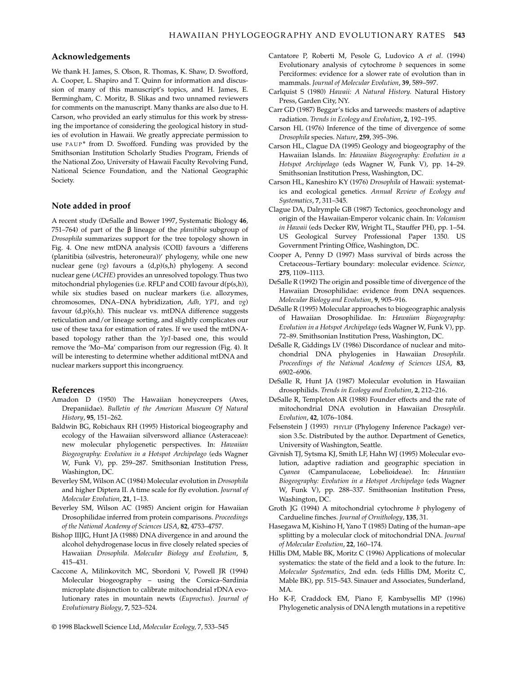#### **Acknowledgements**

We thank H. James, S. Olson, R. Thomas, K. Shaw, D. Swofford, A. Cooper, L. Shapiro and T. Quinn for information and discussion of many of this manuscript's topics, and H. James, E. Bermingham, C. Moritz, B. Slikas and two unnamed reviewers for comments on the manuscript. Many thanks are also due to H. Carson, who provided an early stimulus for this work by stressing the importance of considering the geological history in studies of evolution in Hawaii. We greatly appreciate permission to use PAUP<sup>\*</sup> from D. Swofford. Funding was provided by the Smithsonian Institution Scholarly Studies Program, Friends of the National Zoo, University of Hawaii Faculty Revolving Fund, National Science Foundation, and the National Geographic Society.

#### **Note added in proof**

A recent study (DeSalle and Bower 1997, Systematic Biology **46**, 751–764) of part of the β lineage of the *planitibia* subgroup of *Drosophila* summarizes support for the tree topology shown in Fig. 4. One new mtDNA analysis (COII) favours a 'differens (planitibia (silvestris, heteroneura))' phylogeny, while one new nuclear gene (*vg*) favours a (d,p)(s,h) phylogeny. A second nuclear gene (*ACHE*) provides an unresolved topology. Thus two mitochondrial phylogenies (i.e. RFLP and COII) favour d(p(s,h)), while six studies based on nuclear markers (i.e. allozymes, chromosomes, DNA–DNA hybridization, *Adh, YP1,* and *vg*) favour (d,p)(s,h). This nuclear vs. mtDNA difference suggests reticulation and/or lineage sorting, and slightly complicates our use of these taxa for estimation of rates. If we used the mtDNAbased topology rather than the *Yp1-*based one, this would remove the 'Mo–Ma' comparison from our regression (Fig. 4). It will be interesting to determine whether additional mtDNA and nuclear markers support this incongruency.

#### **References**

- Amadon D (1950) The Hawaiian honeycreepers (Aves, Drepaniidae). *Bulletin of the American Museum Of Natural History*, **95**, 151–262.
- Baldwin BG, Robichaux RH (1995) Historical biogeography and ecology of the Hawaiian silversword alliance (Asteraceae): new molecular phylogenetic perspectives. In: *Hawaiian Biogeography: Evolution in a Hotspot Archipelago* (eds Wagner W, Funk V), pp. 259–287. Smithsonian Institution Press, Washington, DC.
- Beverley SM, Wilson AC (1984) Molecular evolution in *Drosophila* and higher Diptera II. A time scale for fly evolution. *Journal of Molecular Evolution*, **21**, 1–13.
- Beverley SM, Wilson AC (1985) Ancient origin for Hawaiian Drosophilidae inferred from protein comparisons. *Proceedings of the National Academy of Sciences USA*, **82**, 4753–4757.
- Bishop IIIJG, Hunt JA (1988) DNA divergence in and around the alcohol dehydrogenase locus in five closely related species of Hawaiian *Drosophila. Molecular Biology and Evolution*, **5**, 415–431.
- Caccone A, Milinkovitch MC, Sbordoni V, Powell JR (1994) Molecular biogeography – using the Corsica–Sardinia microplate disjunction to calibrate mitochondrial rDNA evolutionary rates in mountain newts (*Euproctus*). *Journal of Evolutionary Biology*, **7**, 523–524.
- Cantatore P, Roberti M, Pesole G, Ludovico A *et al.* (1994) Evolutionary analysis of cytochrome *b* sequences in some Perciformes: evidence for a slower rate of evolution than in mammals. *Journal of Molecular Evolution*, **39**, 589–597.
- Carlquist S (1980) *Hawaii: A Natural History.* Natural History Press, Garden City, NY.
- Carr GD (1987) Beggar's ticks and tarweeds: masters of adaptive radiation. *Trends in Ecology and Evolution*, **2**, 192–195.
- Carson HL (1976) Inference of the time of divergence of some *Drosophila* species. *Nature*, **259**, 395–396.
- Carson HL, Clague DA (1995) Geology and biogeography of the Hawaiian Islands. In: *Hawaiian Biogeography: Evolution in a Hotspot Archipelago* (eds Wagner W, Funk V), pp. 14–29. Smithsonian Institution Press, Washington, DC.
- Carson HL, Kaneshiro KY (1976) *Drosophila* of Hawaii: systematics and ecological genetics. *Annual Review of Ecology and Systematics*, **7**, 311–345.
- Clague DA, Dalrymple GB (1987) Tectonics, geochronology and origin of the Hawaiian-Emperor volcanic chain. In: *Volcanism in Hawaii* (eds Decker RW, Wright TL, Stauffer PH), pp. 1–54. US Geological Survey Professional Paper 1350. US Government Printing Office, Washington, DC.
- Cooper A, Penny D (1997) Mass survival of birds across the Cretaceous–Tertiary boundary: molecular evidence. *Science*, **275**, 1109–1113.
- DeSalle R (1992) The origin and possible time of divergence of the Hawaiian Drosophilidae: evidence from DNA sequences. *Molecular Biology and Evolution*, **9**, 905–916.
- DeSalle R (1995) Molecular approaches to biogeographic analysis of Hawaiian Drosophilidae. In: *Hawaiian Biogeography: Evolution in a Hotspot Archipelago* (eds Wagner W, Funk V), pp. 72–89. Smithsonian Institution Press, Washington, DC.
- DeSalle R, Giddings LV (1986) Discordance of nuclear and mitochondrial DNA phylogenies in Hawaiian *Drosophila. Proceedings of the National Academy of Sciences USA*, **83**, 6902–6906.
- DeSalle R, Hunt JA (1987) Molecular evolution in Hawaiian drosophilids. *Trends in Ecology and Evolution*, **2**, 212–216.
- DeSalle R, Templeton AR (1988) Founder effects and the rate of mitochondrial DNA evolution in Hawaiian *Drosophila. Evolution*, **42**, 1076–1084.
- Felsenstein J (1993) PHYLIP (Phylogeny Inference Package) version 3.5c. Distributed by the author. Department of Genetics, University of Washington, Seattle.
- Givnish TJ, Sytsma KJ, Smith LF, Hahn WJ (1995) Molecular evolution, adaptive radiation and geographic speciation in *Cyanea* (Campanulaceae, Lobelioideae). In: *Hawaiian Biogeography: Evolution in a Hotspot Archipelago* (eds Wagner W, Funk V), pp. 288–337. Smithsonian Institution Press, Washington, DC.
- Groth JG (1994) A mitochondrial cytochrome *b* phylogeny of Cardueline finches. *Journal of Ornithology*, **135**, 31.
- Hasegawa M, Kishino H, Yano T (1985) Dating of the human–ape splitting by a molecular clock of mitochondrial DNA. *Journal of Molecular Evolution*, **22**, 160–174.
- Hillis DM, Mable BK, Moritz C (1996) Applications of molecular systematics: the state of the field and a look to the future. In: *Molecular Systematics*, 2nd edn. (eds Hillis DM, Moritz C, Mable BK), pp. 515–543. Sinauer and Associates, Sunderland, MA.
- Ho K-F, Craddock EM, Piano F, Kambysellis MP (1996) Phylogenetic analysis of DNA length mutations in a repetitive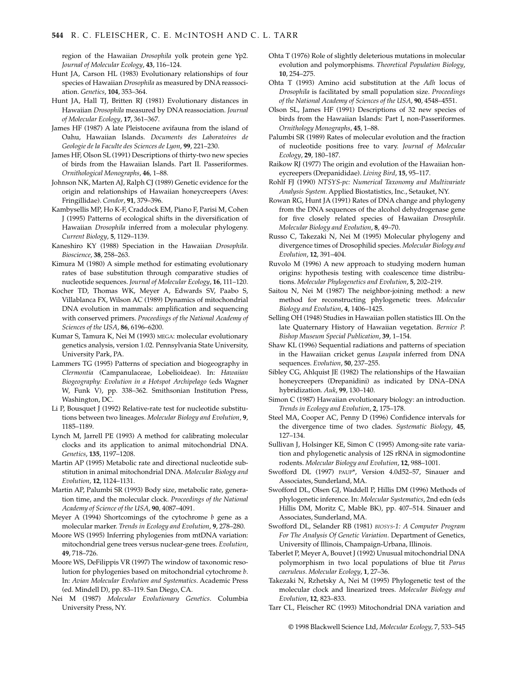region of the Hawaiian *Drosophila* yolk protein gene Yp2. *Journal of Molecular Ecology*, **43**, 116–124.

- Hunt JA, Carson HL (1983) Evolutionary relationships of four species of Hawaiian *Drosophila* as measured by DNA reassociation. *Genetics*, **104**, 353–364.
- Hunt JA, Hall TJ, Britten RJ (1981) Evolutionary distances in Hawaiian *Drosophila* measured by DNA reassociation. *Journal of Molecular Ecology*, **17**, 361–367.
- James HF (1987) A late Pleistocene avifauna from the island of Oahu, Hawaiian Islands. *Documents des Laboratoires de Geologie de la Faculte des Sciences de Lyon*, **99**, 221–230.
- James HF, Olson SL (1991) Descriptions of thirty-two new species of birds from the Hawaiian Islands. Part II. Passeriformes. *Ornithological Monographs*, **46**, 1–88.
- Johnson NK, Marten AJ, Ralph CJ (1989) Genetic evidence for the origin and relationships of Hawaiian honeycreepers (Aves: Fringillidae). *Condor*, **91**, 379–396.
- Kambysellis MP, Ho K-F, Craddock EM, Piano F, Parisi M, Cohen J (1995) Patterns of ecological shifts in the diversification of Hawaiian *Drosophila* inferred from a molecular phylogeny. *Current Biology*, **5**, 1129–1139.
- Kaneshiro KY (1988) Speciation in the Hawaiian *Drosophila. Bioscience*, **38**, 258–263.
- Kimura M (1980) A simple method for estimating evolutionary rates of base substitution through comparative studies of nucleotide sequences. *Journal of Molecular Ecology*, **16**, 111–120.
- Kocher TD, Thomas WK, Meyer A, Edwards SV, Paabo S, Villablanca FX, Wilson AC (1989) Dynamics of mitochondrial DNA evolution in mammals: amplification and sequencing with conserved primers. *Proceedings of the National Academy of Sciences of the USA*, **86**, 6196–6200.
- Kumar S, Tamura K, Nei M (1993) MEGA: molecular evolutionary genetics analysis, version 1.02. Pennsylvania State University, University Park, PA.
- Lammers TG (1995) Patterns of speciation and biogeography in *Clermontia* (Campanulaceae, Lobelioideae). In: *Hawaiian Biogeography: Evolution in a Hotspot Archipelago* (eds Wagner W, Funk V), pp. 338–362. Smithsonian Institution Press, Washington, DC.
- Li P, Bousquet J (1992) Relative-rate test for nucleotide substitutions between two lineages. *Molecular Biology and Evolution*, **9**, 1185–1189.
- Lynch M, Jarrell PE (1993) A method for calibrating molecular clocks and its application to animal mitochondrial DNA. *Genetics*, **135**, 1197–1208.
- Martin AP (1995) Metabolic rate and directional nucleotide substitution in animal mitochondrial DNA. *Molecular Biology and Evolution*, **12**, 1124–1131.
- Martin AP, Palumbi SR (1993) Body size, metabolic rate, generation time, and the molecular clock. *Proceedings of the National Academy of Science of the USA*, **90**, 4087–4091.
- Meyer A (1994) Shortcomings of the cytochrome *b* gene as a molecular marker. *Trends in Ecology and Evolution*, **9**, 278–280.
- Moore WS (1995) Inferring phylogenies from mtDNA variation: mitochondrial gene trees versus nuclear-gene trees. *Evolution*, **49**, 718–726.
- Moore WS, DeFilippis VR (1997) The window of taxonomic resolution for phylogenies based on mitochondrial cytochrome *b*. In: *Avian Molecular Evolution and Systematics*. Academic Press (ed. Mindell D), pp. 83–119. San Diego, CA.
- Nei M (1987) *Molecular Evolutionary Genetics*. Columbia University Press, NY.
- Ohta T (1976) Role of slightly deleterious mutations in molecular evolution and polymorphisms. *Theoretical Population Biology*, **10**, 254–275.
- Ohta T (1993) Amino acid substitution at the *Adh* locus of *Drosophila* is facilitated by small population size. *Proceedings of the National Academy of Sciences of the USA*, **90**, 4548–4551.
- Olson SL, James HF (1991) Descriptions of 32 new species of birds from the Hawaiian Islands: Part I, non-Passeriformes. *Ornithology Monographs*, **45**, 1–88.
- Palumbi SR (1989) Rates of molecular evolution and the fraction of nucleotide positions free to vary. *Journal of Molecular Ecology*, **29**, 180–187.
- Raikow RJ (1977) The origin and evolution of the Hawaiian honeycreepers (Drepanididae). *Living Bird*, **15**, 95–117.
- Rohlf FJ (1990) *NTSYS-pc: Numerical Taxonomy and Multivariate Analysis System.* Applied Biostatistics, Inc., Setauket, NY.
- Rowan RG, Hunt JA (1991) Rates of DNA change and phylogeny from the DNA sequences of the alcohol dehydrogenase gene for five closely related species of Hawaiian *Drosophila. Molecular Biology and Evolution*, **8**, 49–70.
- Russo C, Takezaki N, Nei M (1995) Molecular phylogeny and divergence times of Drosophilid species. *Molecular Biology and Evolution*, **12**, 391–404.
- Ruvolo M (1996) A new approach to studying modern human origins: hypothesis testing with coalescence time distributions. *Molecular Phylogenetics and Evolution*, **5**, 202–219.
- Saitou N, Nei M (1987) The neighbor-joining method: a new method for reconstructing phylogenetic trees. *Molecular Biology and Evolution*, **4**, 1406–1425.
- Selling OH (1948) Studies in Hawaiian pollen statistics III. On the late Quaternary History of Hawaiian vegetation. *Bernice P. Bishop Museum Special Publication*, **39**, 1–154.
- Shaw KL (1996) Sequential radiations and patterns of speciation in the Hawaiian cricket genus *Laupala* inferred from DNA sequences. *Evolution*, **50**, 237–255.
- Sibley CG, Ahlquist JE (1982) The relationships of the Hawaiian honeycreepers (Drepanidini) as indicated by DNA–DNA hybridization. *Auk*, **99**, 130–140.
- Simon C (1987) Hawaiian evolutionary biology: an introduction. *Trends in Ecology and Evolution*, **2**, 175–178.
- Steel MA, Cooper AC, Penny D (1996) Confidence intervals for the divergence time of two clades. *Systematic Biology*, **45**, 127–134.
- Sullivan J, Holsinger KE, Simon C (1995) Among-site rate variation and phylogenetic analysis of 12S rRNA in sigmodontine rodents. *Molecular Biology and Evolution*, **12**, 988–1001.
- Swofford DL (1997) PAUP\*, Version 4.0d52–57, Sinauer and Associates, Sunderland, MA.
- Swofford DL, Olsen GJ, Waddell P, Hillis DM (1996) Methods of phylogenetic inference. In: *Molecular Systematics*, 2nd edn (eds Hillis DM, Moritz C, Mable BK), pp. 407–514. Sinauer and Associates, Sunderland, MA.
- Swofford DL, Selander RB (1981) *BIOSYS-1: A Computer Program For The Analysis Of Genetic Variation.* Department of Genetics, University of Illinois, Champaign-Urbana, Illinois.
- Taberlet P, Meyer A, Bouvet J (1992) Unusual mitochondrial DNA polymorphism in two local populations of blue tit *Parus caeruleus. Molecular Ecology*, **1**, 27–36.
- Takezaki N, Rzhetsky A, Nei M (1995) Phylogenetic test of the molecular clock and linearized trees. *Molecular Biology and Evolution*, **12**, 823–833.
- Tarr CL, Fleischer RC (1993) Mitochondrial DNA variation and